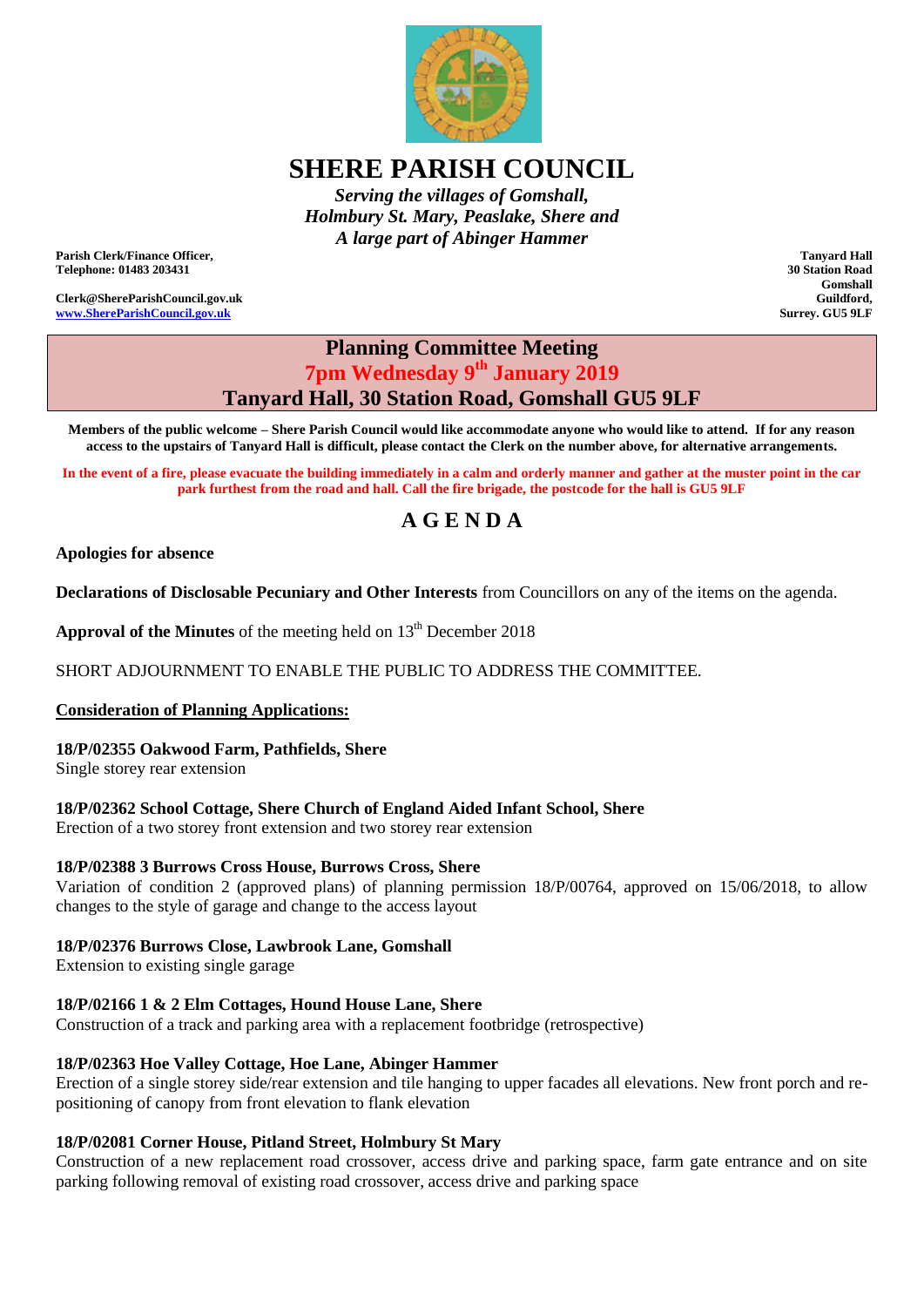

# **SHERE PARISH COUNCIL**

*Serving the villages of Gomshall, Holmbury St. Mary, Peaslake, Shere and A large part of Abinger Hammer*

**Parish Clerk/Finance Officer, Telephone: 01483 203431**

**Clerk@ShereParishCouncil.gov.uk [www.ShereParishCouncil.gov.uk](http://www.shereparishcouncil.gov.uk/)**

**Tanyard Hall 30 Station Road Gomshall Guildford, Surrey. GU5 9LF**

# **Planning Committee Meeting 7pm Wednesday 9 th January 2019 Tanyard Hall, 30 Station Road, Gomshall GU5 9LF**

**Members of the public welcome – Shere Parish Council would like accommodate anyone who would like to attend. If for any reason access to the upstairs of Tanyard Hall is difficult, please contact the Clerk on the number above, for alternative arrangements.**

**In the event of a fire, please evacuate the building immediately in a calm and orderly manner and gather at the muster point in the car park furthest from the road and hall. Call the fire brigade, the postcode for the hall is GU5 9LF**

# **A G E N D A**

# **Apologies for absence**

**Declarations of Disclosable Pecuniary and Other Interests** from Councillors on any of the items on the agenda.

**Approval of the Minutes** of the meeting held on  $13<sup>th</sup>$  December 2018

SHORT ADJOURNMENT TO ENABLE THE PUBLIC TO ADDRESS THE COMMITTEE.

#### **Consideration of Planning Applications:**

**18/P/02355 Oakwood Farm, Pathfields, Shere** Single storey rear extension

**18/P/02362 School Cottage, Shere Church of England Aided Infant School, Shere**

Erection of a two storey front extension and two storey rear extension

#### **18/P/02388 3 Burrows Cross House, Burrows Cross, Shere**

Variation of condition 2 (approved plans) of planning permission 18/P/00764, approved on 15/06/2018, to allow changes to the style of garage and change to the access layout

# **18/P/02376 Burrows Close, Lawbrook Lane, Gomshall**

Extension to existing single garage

# **18/P/02166 1 & 2 Elm Cottages, Hound House Lane, Shere**

Construction of a track and parking area with a replacement footbridge (retrospective)

# **18/P/02363 Hoe Valley Cottage, Hoe Lane, Abinger Hammer**

Erection of a single storey side/rear extension and tile hanging to upper facades all elevations. New front porch and repositioning of canopy from front elevation to flank elevation

#### **18/P/02081 Corner House, Pitland Street, Holmbury St Mary**

Construction of a new replacement road crossover, access drive and parking space, farm gate entrance and on site parking following removal of existing road crossover, access drive and parking space